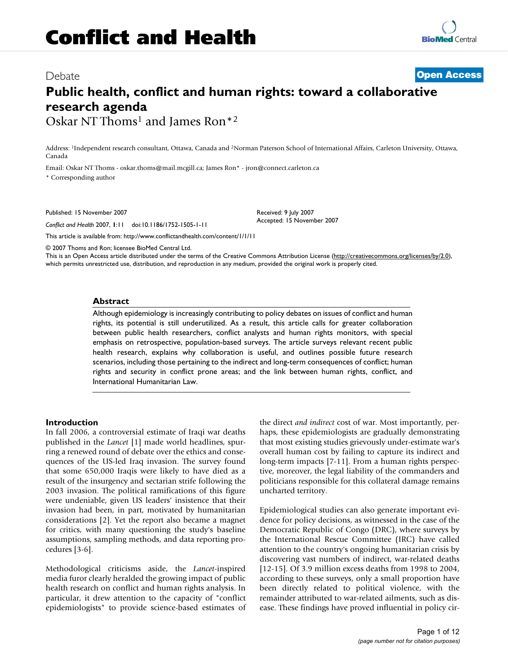# Debate **[Open Access](http://www.biomedcentral.com/info/about/charter/)**

# **Public health, conflict and human rights: toward a collaborative research agenda** Oskar NT Thoms<sup>1</sup> and James Ron<sup>\*2</sup>

Address: 1Independent research consultant, Ottawa, Canada and 2Norman Paterson School of International Affairs, Carleton University, Ottawa, Canada

> Received: 9 July 2007 Accepted: 15 November 2007

Email: Oskar NT Thoms - oskar.thoms@mail.mcgill.ca; James Ron\* - jron@connect.carleton.ca

\* Corresponding author

Published: 15 November 2007

*Conflict and Health* 2007, **1**:11 doi:10.1186/1752-1505-1-11

[This article is available from: http://www.conflictandhealth.com/content/1/1/11](http://www.conflictandhealth.com/content/1/1/11)

© 2007 Thoms and Ron; licensee BioMed Central Ltd.

This is an Open Access article distributed under the terms of the Creative Commons Attribution License [\(http://creativecommons.org/licenses/by/2.0\)](http://creativecommons.org/licenses/by/2.0), which permits unrestricted use, distribution, and reproduction in any medium, provided the original work is properly cited.

#### **Abstract**

Although epidemiology is increasingly contributing to policy debates on issues of conflict and human rights, its potential is still underutilized. As a result, this article calls for greater collaboration between public health researchers, conflict analysts and human rights monitors, with special emphasis on retrospective, population-based surveys. The article surveys relevant recent public health research, explains why collaboration is useful, and outlines possible future research scenarios, including those pertaining to the indirect and long-term consequences of conflict; human rights and security in conflict prone areas; and the link between human rights, conflict, and International Humanitarian Law.

#### **Introduction**

In fall 2006, a controversial estimate of Iraqi war deaths published in the *Lancet* [1] made world headlines, spurring a renewed round of debate over the ethics and consequences of the US-led Iraq invasion. The survey found that some 650,000 Iraqis were likely to have died as a result of the insurgency and sectarian strife following the 2003 invasion. The political ramifications of this figure were undeniable, given US leaders' insistence that their invasion had been, in part, motivated by humanitarian considerations [2]. Yet the report also became a magnet for critics, with many questioning the study's baseline assumptions, sampling methods, and data reporting procedures [3-6].

Methodological criticisms aside, the *Lancet*-inspired media furor clearly heralded the growing impact of public health research on conflict and human rights analysis. In particular, it drew attention to the capacity of "conflict epidemiologists" to provide science-based estimates of the direct *and indirect* cost of war. Most importantly, perhaps, these epidemiologists are gradually demonstrating that most existing studies grievously under-estimate war's overall human cost by failing to capture its indirect and long-term impacts [7-11]. From a human rights perspective, moreover, the legal liability of the commanders and politicians responsible for this collateral damage remains uncharted territory.

Epidemiological studies can also generate important evidence for policy decisions, as witnessed in the case of the Democratic Republic of Congo (DRC), where surveys by the International Rescue Committee (IRC) have called attention to the country's ongoing humanitarian crisis by discovering vast numbers of indirect, war-related deaths [12-15]. Of 3.9 million excess deaths from 1998 to 2004, according to these surveys, only a small proportion have been directly related to political violence, with the remainder attributed to war-related ailments, such as disease. These findings have proved influential in policy cir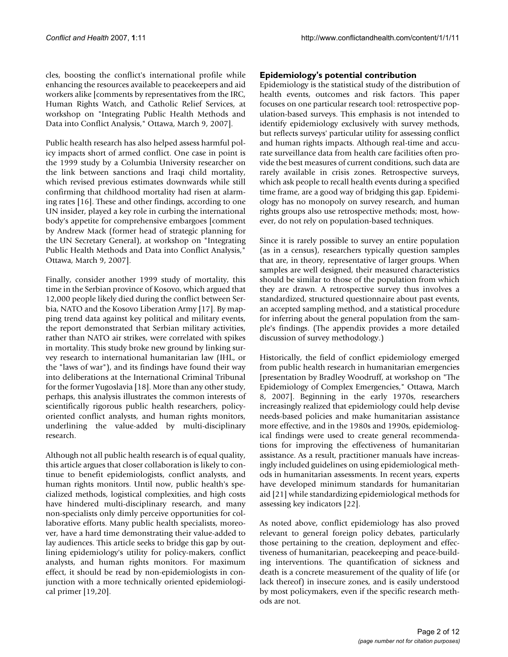cles, boosting the conflict's international profile while enhancing the resources available to peacekeepers and aid workers alike [comments by representatives from the IRC, Human Rights Watch, and Catholic Relief Services, at workshop on "Integrating Public Health Methods and Data into Conflict Analysis," Ottawa, March 9, 2007].

Public health research has also helped assess harmful policy impacts short of armed conflict. One case in point is the 1999 study by a Columbia University researcher on the link between sanctions and Iraqi child mortality, which revised previous estimates downwards while still confirming that childhood mortality had risen at alarming rates [16]. These and other findings, according to one UN insider, played a key role in curbing the international body's appetite for comprehensive embargoes [comment by Andrew Mack (former head of strategic planning for the UN Secretary General), at workshop on "Integrating Public Health Methods and Data into Conflict Analysis," Ottawa, March 9, 2007].

Finally, consider another 1999 study of mortality, this time in the Serbian province of Kosovo, which argued that 12,000 people likely died during the conflict between Serbia, NATO and the Kosovo Liberation Army [17]. By mapping trend data against key political and military events, the report demonstrated that Serbian military activities, rather than NATO air strikes, were correlated with spikes in mortality. This study broke new ground by linking survey research to international humanitarian law (IHL, or the "laws of war"), and its findings have found their way into deliberations at the International Criminal Tribunal for the former Yugoslavia [18]. More than any other study, perhaps, this analysis illustrates the common interests of scientifically rigorous public health researchers, policyoriented conflict analysts, and human rights monitors, underlining the value-added by multi-disciplinary research.

Although not all public health research is of equal quality, this article argues that closer collaboration is likely to continue to benefit epidemiologists, conflict analysts, and human rights monitors. Until now, public health's specialized methods, logistical complexities, and high costs have hindered multi-disciplinary research, and many non-specialists only dimly perceive opportunities for collaborative efforts. Many public health specialists, moreover, have a hard time demonstrating their value-added to lay audiences. This article seeks to bridge this gap by outlining epidemiology's utility for policy-makers, conflict analysts, and human rights monitors. For maximum effect, it should be read by non-epidemiologists in conjunction with a more technically oriented epidemiological primer [19,20].

# **Epidemiology's potential contribution**

Epidemiology is the statistical study of the distribution of health events, outcomes and risk factors. This paper focuses on one particular research tool: retrospective population-based surveys. This emphasis is not intended to identify epidemiology exclusively with survey methods, but reflects surveys' particular utility for assessing conflict and human rights impacts. Although real-time and accurate surveillance data from health care facilities often provide the best measures of current conditions, such data are rarely available in crisis zones. Retrospective surveys, which ask people to recall health events during a specified time frame, are a good way of bridging this gap. Epidemiology has no monopoly on survey research, and human rights groups also use retrospective methods; most, however, do not rely on population-based techniques.

Since it is rarely possible to survey an entire population (as in a census), researchers typically question samples that are, in theory, representative of larger groups. When samples are well designed, their measured characteristics should be similar to those of the population from which they are drawn. A retrospective survey thus involves a standardized, structured questionnaire about past events, an accepted sampling method, and a statistical procedure for inferring about the general population from the sample's findings. (The appendix provides a more detailed discussion of survey methodology.)

Historically, the field of conflict epidemiology emerged from public health research in humanitarian emergencies [presentation by Bradley Woodruff, at workshop on "The Epidemiology of Complex Emergencies," Ottawa, March 8, 2007]. Beginning in the early 1970s, researchers increasingly realized that epidemiology could help devise needs-based policies and make humanitarian assistance more effective, and in the 1980s and 1990s, epidemiological findings were used to create general recommendations for improving the effectiveness of humanitarian assistance. As a result, practitioner manuals have increasingly included guidelines on using epidemiological methods in humanitarian assessments. In recent years, experts have developed minimum standards for humanitarian aid [21] while standardizing epidemiological methods for assessing key indicators [22].

As noted above, conflict epidemiology has also proved relevant to general foreign policy debates, particularly those pertaining to the creation, deployment and effectiveness of humanitarian, peacekeeping and peace-building interventions. The quantification of sickness and death is a concrete measurement of the quality of life (or lack thereof) in insecure zones, and is easily understood by most policymakers, even if the specific research methods are not.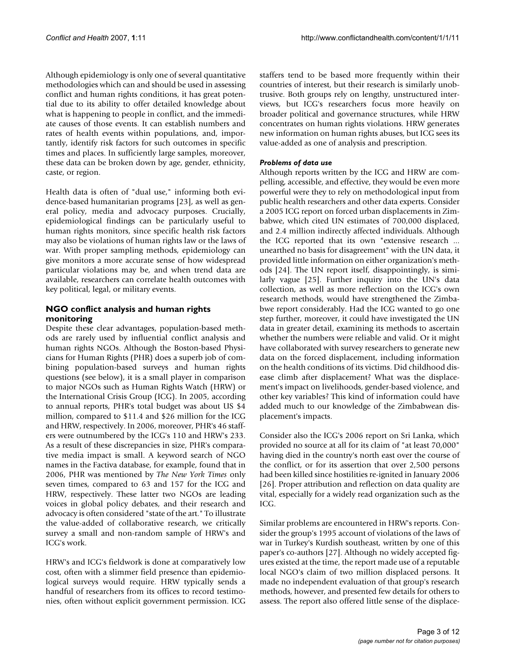Although epidemiology is only one of several quantitative methodologies which can and should be used in assessing conflict and human rights conditions, it has great potential due to its ability to offer detailed knowledge about what is happening to people in conflict, and the immediate causes of those events. It can establish numbers and rates of health events within populations, and, importantly, identify risk factors for such outcomes in specific times and places. In sufficiently large samples, moreover, these data can be broken down by age, gender, ethnicity, caste, or region.

Health data is often of "dual use," informing both evidence-based humanitarian programs [23], as well as general policy, media and advocacy purposes. Crucially, epidemiological findings can be particularly useful to human rights monitors, since specific health risk factors may also be violations of human rights law or the laws of war. With proper sampling methods, epidemiology can give monitors a more accurate sense of how widespread particular violations may be, and when trend data are available, researchers can correlate health outcomes with key political, legal, or military events.

## **NGO conflict analysis and human rights monitoring**

Despite these clear advantages, population-based methods are rarely used by influential conflict analysis and human rights NGOs. Although the Boston-based Physicians for Human Rights (PHR) does a superb job of combining population-based surveys and human rights questions (see below), it is a small player in comparison to major NGOs such as Human Rights Watch (HRW) or the International Crisis Group (ICG). In 2005, according to annual reports, PHR's total budget was about US \$4 million, compared to \$11.4 and \$26 million for the ICG and HRW, respectively. In 2006, moreover, PHR's 46 staffers were outnumbered by the ICG's 110 and HRW's 233. As a result of these discrepancies in size, PHR's comparative media impact is small. A keyword search of NGO names in the Factiva database, for example, found that in 2006, PHR was mentioned by *The New York Times* only seven times, compared to 63 and 157 for the ICG and HRW, respectively. These latter two NGOs are leading voices in global policy debates, and their research and advocacy is often considered "state of the art." To illustrate the value-added of collaborative research, we critically survey a small and non-random sample of HRW's and ICG's work.

HRW's and ICG's fieldwork is done at comparatively low cost, often with a slimmer field presence than epidemiological surveys would require. HRW typically sends a handful of researchers from its offices to record testimonies, often without explicit government permission. ICG staffers tend to be based more frequently within their countries of interest, but their research is similarly unobtrusive. Both groups rely on lengthy, unstructured interviews, but ICG's researchers focus more heavily on broader political and governance structures, while HRW concentrates on human rights violations. HRW generates new information on human rights abuses, but ICG sees its value-added as one of analysis and prescription.

## *Problems of data use*

Although reports written by the ICG and HRW are compelling, accessible, and effective, they would be even more powerful were they to rely on methodological input from public health researchers and other data experts. Consider a 2005 ICG report on forced urban displacements in Zimbabwe, which cited UN estimates of 700,000 displaced, and 2.4 million indirectly affected individuals. Although the ICG reported that its own "extensive research ... unearthed no basis for disagreement" with the UN data, it provided little information on either organization's methods [24]. The UN report itself, disappointingly, is similarly vague [25]. Further inquiry into the UN's data collection, as well as more reflection on the ICG's own research methods, would have strengthened the Zimbabwe report considerably. Had the ICG wanted to go one step further, moreover, it could have investigated the UN data in greater detail, examining its methods to ascertain whether the numbers were reliable and valid. Or it might have collaborated with survey researchers to generate new data on the forced displacement, including information on the health conditions of its victims. Did childhood disease climb after displacement? What was the displacement's impact on livelihoods, gender-based violence, and other key variables? This kind of information could have added much to our knowledge of the Zimbabwean displacement's impacts.

Consider also the ICG's 2006 report on Sri Lanka, which provided no source at all for its claim of "at least 70,000" having died in the country's north east over the course of the conflict, or for its assertion that over 2,500 persons had been killed since hostilities re-ignited in January 2006 [26]. Proper attribution and reflection on data quality are vital, especially for a widely read organization such as the ICG.

Similar problems are encountered in HRW's reports. Consider the group's 1995 account of violations of the laws of war in Turkey's Kurdish southeast, written by one of this paper's co-authors [27]. Although no widely accepted figures existed at the time, the report made use of a reputable local NGO's claim of two million displaced persons. It made no independent evaluation of that group's research methods, however, and presented few details for others to assess. The report also offered little sense of the displace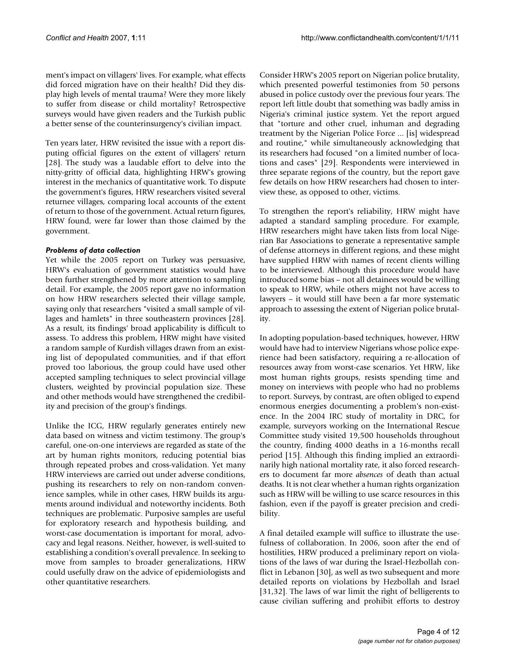ment's impact on villagers' lives. For example, what effects did forced migration have on their health? Did they display high levels of mental trauma? Were they more likely to suffer from disease or child mortality? Retrospective surveys would have given readers and the Turkish public a better sense of the counterinsurgency's civilian impact.

Ten years later, HRW revisited the issue with a report disputing official figures on the extent of villagers' return [28]. The study was a laudable effort to delve into the nitty-gritty of official data, highlighting HRW's growing interest in the mechanics of quantitative work. To dispute the government's figures, HRW researchers visited several returnee villages, comparing local accounts of the extent of return to those of the government. Actual return figures, HRW found, were far lower than those claimed by the government.

## *Problems of data collection*

Yet while the 2005 report on Turkey was persuasive, HRW's evaluation of government statistics would have been further strengthened by more attention to sampling detail. For example, the 2005 report gave no information on how HRW researchers selected their village sample, saying only that researchers "visited a small sample of villages and hamlets" in three southeastern provinces [28]. As a result, its findings' broad applicability is difficult to assess. To address this problem, HRW might have visited a random sample of Kurdish villages drawn from an existing list of depopulated communities, and if that effort proved too laborious, the group could have used other accepted sampling techniques to select provincial village clusters, weighted by provincial population size. These and other methods would have strengthened the credibility and precision of the group's findings.

Unlike the ICG, HRW regularly generates entirely new data based on witness and victim testimony. The group's careful, one-on-one interviews are regarded as state of the art by human rights monitors, reducing potential bias through repeated probes and cross-validation. Yet many HRW interviews are carried out under adverse conditions, pushing its researchers to rely on non-random convenience samples, while in other cases, HRW builds its arguments around individual and noteworthy incidents. Both techniques are problematic. Purposive samples are useful for exploratory research and hypothesis building, and worst-case documentation is important for moral, advocacy and legal reasons. Neither, however, is well-suited to establishing a condition's overall prevalence. In seeking to move from samples to broader generalizations, HRW could usefully draw on the advice of epidemiologists and other quantitative researchers.

Consider HRW's 2005 report on Nigerian police brutality, which presented powerful testimonies from 50 persons abused in police custody over the previous four years. The report left little doubt that something was badly amiss in Nigeria's criminal justice system. Yet the report argued that "torture and other cruel, inhuman and degrading treatment by the Nigerian Police Force ... [is] widespread and routine," while simultaneously acknowledging that its researchers had focused "on a limited number of locations and cases" [29]. Respondents were interviewed in three separate regions of the country, but the report gave few details on how HRW researchers had chosen to interview these, as opposed to other, victims.

To strengthen the report's reliability, HRW might have adapted a standard sampling procedure. For example, HRW researchers might have taken lists from local Nigerian Bar Associations to generate a representative sample of defense attorneys in different regions, and these might have supplied HRW with names of recent clients willing to be interviewed. Although this procedure would have introduced some bias – not all detainees would be willing to speak to HRW, while others might not have access to lawyers – it would still have been a far more systematic approach to assessing the extent of Nigerian police brutality.

In adopting population-based techniques, however, HRW would have had to interview Nigerians whose police experience had been satisfactory, requiring a re-allocation of resources away from worst-case scenarios. Yet HRW, like most human rights groups, resists spending time and money on interviews with people who had no problems to report. Surveys, by contrast, are often obliged to expend enormous energies documenting a problem's non-existence. In the 2004 IRC study of mortality in DRC, for example, surveyors working on the International Rescue Committee study visited 19,500 households throughout the country, finding 4000 deaths in a 16-months recall period [15]. Although this finding implied an extraordinarily high national mortality rate, it also forced researchers to document far more *absences* of death than actual deaths. It is not clear whether a human rights organization such as HRW will be willing to use scarce resources in this fashion, even if the payoff is greater precision and credibility.

A final detailed example will suffice to illustrate the usefulness of collaboration. In 2006, soon after the end of hostilities, HRW produced a preliminary report on violations of the laws of war during the Israel-Hezbollah conflict in Lebanon [30], as well as two subsequent and more detailed reports on violations by Hezbollah and Israel [31,32]. The laws of war limit the right of belligerents to cause civilian suffering and prohibit efforts to destroy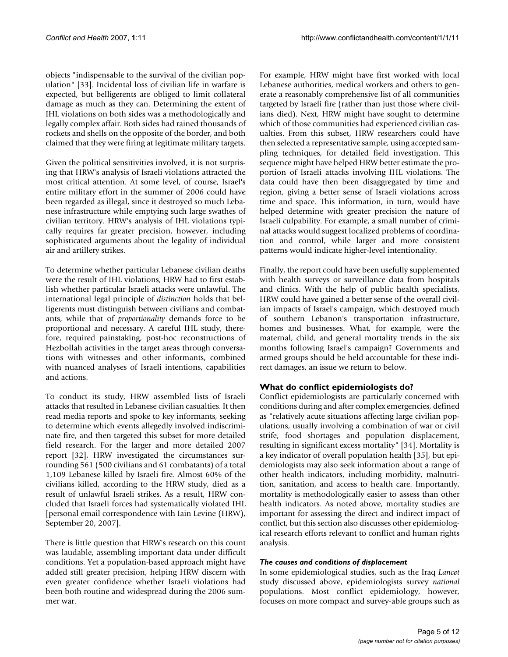objects "indispensable to the survival of the civilian population" [33]. Incidental loss of civilian life in warfare is expected, but belligerents are obliged to limit collateral damage as much as they can. Determining the extent of IHL violations on both sides was a methodologically and legally complex affair. Both sides had rained thousands of rockets and shells on the opposite of the border, and both claimed that they were firing at legitimate military targets.

Given the political sensitivities involved, it is not surprising that HRW's analysis of Israeli violations attracted the most critical attention. At some level, of course, Israel's entire military effort in the summer of 2006 could have been regarded as illegal, since it destroyed so much Lebanese infrastructure while emptying such large swathes of civilian territory. HRW's analysis of IHL violations typically requires far greater precision, however, including sophisticated arguments about the legality of individual air and artillery strikes.

To determine whether particular Lebanese civilian deaths were the result of IHL violations, HRW had to first establish whether particular Israeli attacks were unlawful. The international legal principle of *distinction* holds that belligerents must distinguish between civilians and combatants, while that of *proportionality* demands force to be proportional and necessary. A careful IHL study, therefore, required painstaking, post-hoc reconstructions of Hezbollah activities in the target areas through conversations with witnesses and other informants, combined with nuanced analyses of Israeli intentions, capabilities and actions.

To conduct its study, HRW assembled lists of Israeli attacks that resulted in Lebanese civilian casualties. It then read media reports and spoke to key informants, seeking to determine which events allegedly involved indiscriminate fire, and then targeted this subset for more detailed field research. For the larger and more detailed 2007 report [32], HRW investigated the circumstances surrounding 561 (500 civilians and 61 combatants) of a total 1,109 Lebanese killed by Israeli fire. Almost 60% of the civilians killed, according to the HRW study, died as a result of unlawful Israeli strikes. As a result, HRW concluded that Israeli forces had systematically violated IHL [personal email correspondence with Iain Levine (HRW), September 20, 2007].

There is little question that HRW's research on this count was laudable, assembling important data under difficult conditions. Yet a population-based approach might have added still greater precision, helping HRW discern with even greater confidence whether Israeli violations had been both routine and widespread during the 2006 summer war.

For example, HRW might have first worked with local Lebanese authorities, medical workers and others to generate a reasonably comprehensive list of all communities targeted by Israeli fire (rather than just those where civilians died). Next, HRW might have sought to determine which of those communities had experienced civilian casualties. From this subset, HRW researchers could have then selected a representative sample, using accepted sampling techniques, for detailed field investigation. This sequence might have helped HRW better estimate the proportion of Israeli attacks involving IHL violations. The data could have then been disaggregated by time and region, giving a better sense of Israeli violations across time and space. This information, in turn, would have helped determine with greater precision the nature of Israeli culpability. For example, a small number of criminal attacks would suggest localized problems of coordination and control, while larger and more consistent patterns would indicate higher-level intentionality.

Finally, the report could have been usefully supplemented with health surveys or surveillance data from hospitals and clinics. With the help of public health specialists, HRW could have gained a better sense of the overall civilian impacts of Israel's campaign, which destroyed much of southern Lebanon's transportation infrastructure, homes and businesses. What, for example, were the maternal, child, and general mortality trends in the six months following Israel's campaign? Governments and armed groups should be held accountable for these indirect damages, an issue we return to below.

## **What do conflict epidemiologists do?**

Conflict epidemiologists are particularly concerned with conditions during and after complex emergencies, defined as "relatively acute situations affecting large civilian populations, usually involving a combination of war or civil strife, food shortages and population displacement, resulting in significant excess mortality" [34]. Mortality is a key indicator of overall population health [35], but epidemiologists may also seek information about a range of other health indicators, including morbidity, malnutrition, sanitation, and access to health care. Importantly, mortality is methodologically easier to assess than other health indicators. As noted above, mortality studies are important for assessing the direct and indirect impact of conflict, but this section also discusses other epidemiological research efforts relevant to conflict and human rights analysis.

## *The causes and conditions of displacement*

In some epidemiological studies, such as the Iraq *Lancet* study discussed above, epidemiologists survey *national* populations. Most conflict epidemiology, however, focuses on more compact and survey-able groups such as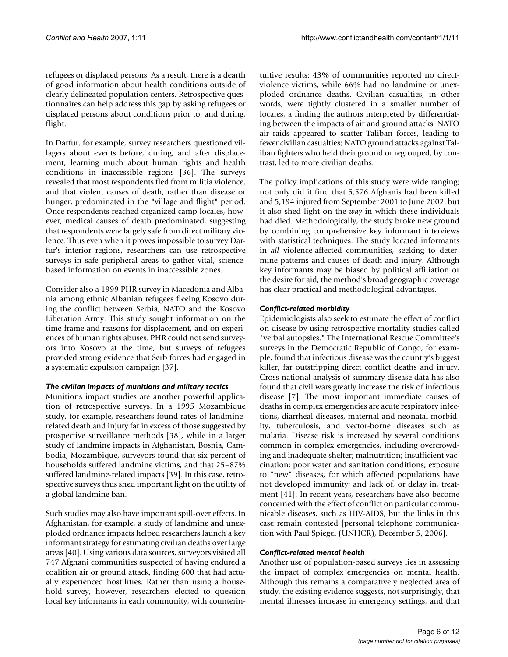refugees or displaced persons. As a result, there is a dearth of good information about health conditions outside of clearly delineated population centers. Retrospective questionnaires can help address this gap by asking refugees or displaced persons about conditions prior to, and during, flight.

In Darfur, for example, survey researchers questioned villagers about events before, during, and after displacement, learning much about human rights and health conditions in inaccessible regions [36]. The surveys revealed that most respondents fled from militia violence, and that violent causes of death, rather than disease or hunger, predominated in the "village and flight" period. Once respondents reached organized camp locales, however, medical causes of death predominated, suggesting that respondents were largely safe from direct military violence. Thus even when it proves impossible to survey Darfur's interior regions, researchers can use retrospective surveys in safe peripheral areas to gather vital, sciencebased information on events in inaccessible zones.

Consider also a 1999 PHR survey in Macedonia and Albania among ethnic Albanian refugees fleeing Kosovo during the conflict between Serbia, NATO and the Kosovo Liberation Army. This study sought information on the time frame and reasons for displacement, and on experiences of human rights abuses. PHR could not send surveyors into Kosovo at the time, but surveys of refugees provided strong evidence that Serb forces had engaged in a systematic expulsion campaign [37].

## *The civilian impacts of munitions and military tactics*

Munitions impact studies are another powerful application of retrospective surveys. In a 1995 Mozambique study, for example, researchers found rates of landminerelated death and injury far in excess of those suggested by prospective surveillance methods [38], while in a larger study of landmine impacts in Afghanistan, Bosnia, Cambodia, Mozambique, surveyors found that six percent of households suffered landmine victims, and that 25–87% suffered landmine-related impacts [39]. In this case, retrospective surveys thus shed important light on the utility of a global landmine ban.

Such studies may also have important spill-over effects. In Afghanistan, for example, a study of landmine and unexploded ordnance impacts helped researchers launch a key informant strategy for estimating civilian deaths over large areas [40]. Using various data sources, surveyors visited all 747 Afghani communities suspected of having endured a coalition air or ground attack, finding 600 that had actually experienced hostilities. Rather than using a household survey, however, researchers elected to question local key informants in each community, with counterintuitive results: 43% of communities reported no directviolence victims, while 66% had no landmine or unexploded ordnance deaths. Civilian casualties, in other words, were tightly clustered in a smaller number of locales, a finding the authors interpreted by differentiating between the impacts of air and ground attacks. NATO air raids appeared to scatter Taliban forces, leading to fewer civilian casualties; NATO ground attacks against Taliban fighters who held their ground or regrouped, by contrast, led to more civilian deaths.

The policy implications of this study were wide ranging; not only did it find that 5,576 Afghanis had been killed and 5,194 injured from September 2001 to June 2002, but it also shed light on the *way* in which these individuals had died. Methodologically, the study broke new ground by combining comprehensive key informant interviews with statistical techniques. The study located informants in *all* violence-affected communities, seeking to determine patterns and causes of death and injury. Although key informants may be biased by political affiliation or the desire for aid, the method's broad geographic coverage has clear practical and methodological advantages.

#### *Conflict-related morbidity*

Epidemiologists also seek to estimate the effect of conflict on disease by using retrospective mortality studies called "verbal autopsies." The International Rescue Committee's surveys in the Democratic Republic of Congo, for example, found that infectious disease was the country's biggest killer, far outstripping direct conflict deaths and injury. Cross-national analysis of summary disease data has also found that civil wars greatly increase the risk of infectious disease [7]. The most important immediate causes of deaths in complex emergencies are acute respiratory infections, diarrheal diseases, maternal and neonatal morbidity, tuberculosis, and vector-borne diseases such as malaria. Disease risk is increased by several conditions common in complex emergencies, including overcrowding and inadequate shelter; malnutrition; insufficient vaccination; poor water and sanitation conditions; exposure to "new" diseases, for which affected populations have not developed immunity; and lack of, or delay in, treatment [41]. In recent years, researchers have also become concerned with the effect of conflict on particular communicable diseases, such as HIV-AIDS, but the links in this case remain contested [personal telephone communication with Paul Spiegel (UNHCR), December 5, 2006].

## *Conflict-related mental health*

Another use of population-based surveys lies in assessing the impact of complex emergencies on mental health. Although this remains a comparatively neglected area of study, the existing evidence suggests, not surprisingly, that mental illnesses increase in emergency settings, and that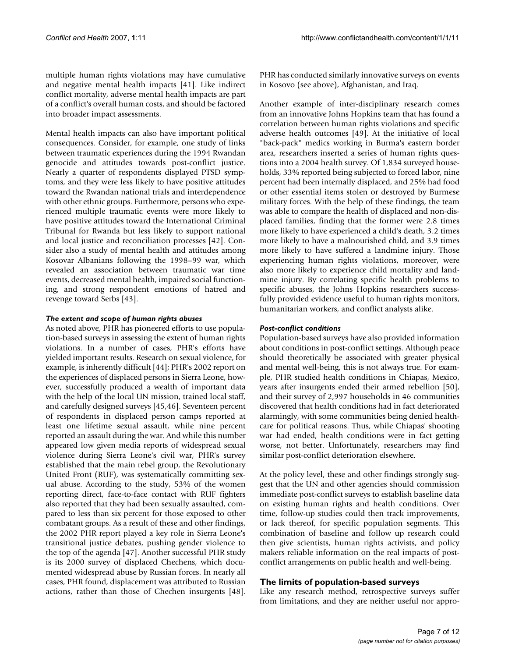multiple human rights violations may have cumulative and negative mental health impacts [41]. Like indirect conflict mortality, adverse mental health impacts are part of a conflict's overall human costs, and should be factored into broader impact assessments.

Mental health impacts can also have important political consequences. Consider, for example, one study of links between traumatic experiences during the 1994 Rwandan genocide and attitudes towards post-conflict justice. Nearly a quarter of respondents displayed PTSD symptoms, and they were less likely to have positive attitudes toward the Rwandan national trials and interdependence with other ethnic groups. Furthermore, persons who experienced multiple traumatic events were more likely to have positive attitudes toward the International Criminal Tribunal for Rwanda but less likely to support national and local justice and reconciliation processes [42]. Consider also a study of mental health and attitudes among Kosovar Albanians following the 1998–99 war, which revealed an association between traumatic war time events, decreased mental health, impaired social functioning, and strong respondent emotions of hatred and revenge toward Serbs [43].

#### *The extent and scope of human rights abuses*

As noted above, PHR has pioneered efforts to use population-based surveys in assessing the extent of human rights violations. In a number of cases, PHR's efforts have yielded important results. Research on sexual violence, for example, is inherently difficult [44]; PHR's 2002 report on the experiences of displaced persons in Sierra Leone, however, successfully produced a wealth of important data with the help of the local UN mission, trained local staff, and carefully designed surveys [45,46]. Seventeen percent of respondents in displaced person camps reported at least one lifetime sexual assault, while nine percent reported an assault during the war. And while this number appeared low given media reports of widespread sexual violence during Sierra Leone's civil war, PHR's survey established that the main rebel group, the Revolutionary United Front (RUF), was systematically committing sexual abuse. According to the study, 53% of the women reporting direct, face-to-face contact with RUF fighters also reported that they had been sexually assaulted, compared to less than six percent for those exposed to other combatant groups. As a result of these and other findings, the 2002 PHR report played a key role in Sierra Leone's transitional justice debates, pushing gender violence to the top of the agenda [47]. Another successful PHR study is its 2000 survey of displaced Chechens, which documented widespread abuse by Russian forces. In nearly all cases, PHR found, displacement was attributed to Russian actions, rather than those of Chechen insurgents [48].

PHR has conducted similarly innovative surveys on events in Kosovo (see above), Afghanistan, and Iraq.

Another example of inter-disciplinary research comes from an innovative Johns Hopkins team that has found a correlation between human rights violations and specific adverse health outcomes [49]. At the initiative of local "back-pack" medics working in Burma's eastern border area, researchers inserted a series of human rights questions into a 2004 health survey. Of 1,834 surveyed households, 33% reported being subjected to forced labor, nine percent had been internally displaced, and 25% had food or other essential items stolen or destroyed by Burmese military forces. With the help of these findings, the team was able to compare the health of displaced and non-displaced families, finding that the former were 2.8 times more likely to have experienced a child's death, 3.2 times more likely to have a malnourished child, and 3.9 times more likely to have suffered a landmine injury. Those experiencing human rights violations, moreover, were also more likely to experience child mortality and landmine injury. By correlating specific health problems to specific abuses, the Johns Hopkins researchers successfully provided evidence useful to human rights monitors, humanitarian workers, and conflict analysts alike.

#### *Post-conflict conditions*

Population-based surveys have also provided information about conditions in post-conflict settings. Although peace should theoretically be associated with greater physical and mental well-being, this is not always true. For example, PHR studied health conditions in Chiapas, Mexico, years after insurgents ended their armed rebellion [50], and their survey of 2,997 households in 46 communities discovered that health conditions had in fact deteriorated alarmingly, with some communities being denied healthcare for political reasons. Thus, while Chiapas' shooting war had ended, health conditions were in fact getting worse, not better. Unfortunately, researchers may find similar post-conflict deterioration elsewhere.

At the policy level, these and other findings strongly suggest that the UN and other agencies should commission immediate post-conflict surveys to establish baseline data on existing human rights and health conditions. Over time, follow-up studies could then track improvements, or lack thereof, for specific population segments. This combination of baseline and follow up research could then give scientists, human rights activists, and policy makers reliable information on the real impacts of postconflict arrangements on public health and well-being.

## **The limits of population-based surveys**

Like any research method, retrospective surveys suffer from limitations, and they are neither useful nor appro-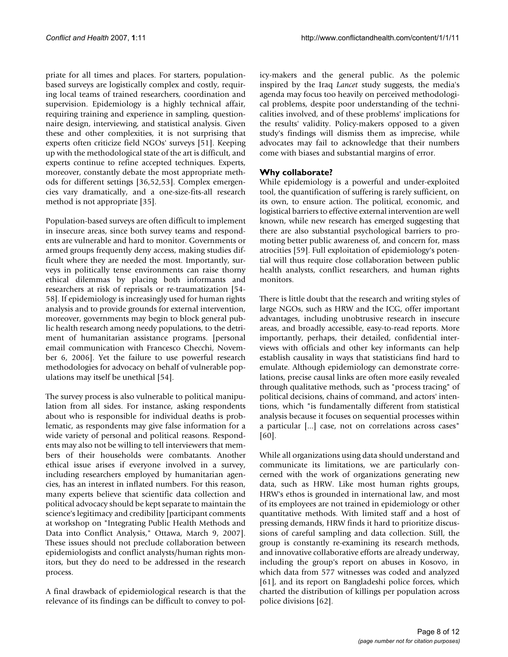priate for all times and places. For starters, populationbased surveys are logistically complex and costly, requiring local teams of trained researchers, coordination and supervision. Epidemiology is a highly technical affair, requiring training and experience in sampling, questionnaire design, interviewing, and statistical analysis. Given these and other complexities, it is not surprising that experts often criticize field NGOs' surveys [51]. Keeping up with the methodological state of the art is difficult, and experts continue to refine accepted techniques. Experts, moreover, constantly debate the most appropriate methods for different settings [36,52,53]. Complex emergencies vary dramatically, and a one-size-fits-all research method is not appropriate [35].

Population-based surveys are often difficult to implement in insecure areas, since both survey teams and respondents are vulnerable and hard to monitor. Governments or armed groups frequently deny access, making studies difficult where they are needed the most. Importantly, surveys in politically tense environments can raise thorny ethical dilemmas by placing both informants and researchers at risk of reprisals or re-traumatization [54- 58]. If epidemiology is increasingly used for human rights analysis and to provide grounds for external intervention, moreover, governments may begin to block general public health research among needy populations, to the detriment of humanitarian assistance programs. [personal email communication with Francesco Checchi, November 6, 2006]. Yet the failure to use powerful research methodologies for advocacy on behalf of vulnerable populations may itself be unethical [54].

The survey process is also vulnerable to political manipulation from all sides. For instance, asking respondents about who is responsible for individual deaths is problematic, as respondents may give false information for a wide variety of personal and political reasons. Respondents may also not be willing to tell interviewers that members of their households were combatants. Another ethical issue arises if everyone involved in a survey, including researchers employed by humanitarian agencies, has an interest in inflated numbers. For this reason, many experts believe that scientific data collection and political advocacy should be kept separate to maintain the science's legitimacy and credibility [participant comments at workshop on "Integrating Public Health Methods and Data into Conflict Analysis," Ottawa, March 9, 2007]. These issues should not preclude collaboration between epidemiologists and conflict analysts/human rights monitors, but they do need to be addressed in the research process.

A final drawback of epidemiological research is that the relevance of its findings can be difficult to convey to policy-makers and the general public. As the polemic inspired by the Iraq *Lancet* study suggests, the media's agenda may focus too heavily on perceived methodological problems, despite poor understanding of the technicalities involved, and of these problems' implications for the results' validity. Policy-makers opposed to a given study's findings will dismiss them as imprecise, while advocates may fail to acknowledge that their numbers come with biases and substantial margins of error.

# **Why collaborate?**

While epidemiology is a powerful and under-exploited tool, the quantification of suffering is rarely sufficient, on its own, to ensure action. The political, economic, and logistical barriers to effective external intervention are well known, while new research has emerged suggesting that there are also substantial psychological barriers to promoting better public awareness of, and concern for, mass atrocities [59]. Full exploitation of epidemiology's potential will thus require close collaboration between public health analysts, conflict researchers, and human rights monitors.

There is little doubt that the research and writing styles of large NGOs, such as HRW and the ICG, offer important advantages, including unobtrusive research in insecure areas, and broadly accessible, easy-to-read reports. More importantly, perhaps, their detailed, confidential interviews with officials and other key informants can help establish causality in ways that statisticians find hard to emulate. Although epidemiology can demonstrate correlations, precise causal links are often more easily revealed through qualitative methods, such as "process tracing" of political decisions, chains of command, and actors' intentions, which "is fundamentally different from statistical analysis because it focuses on sequential processes within a particular [...] case, not on correlations across cases" [60].

While all organizations using data should understand and communicate its limitations, we are particularly concerned with the work of organizations generating new data, such as HRW. Like most human rights groups, HRW's ethos is grounded in international law, and most of its employees are not trained in epidemiology or other quantitative methods. With limited staff and a host of pressing demands, HRW finds it hard to prioritize discussions of careful sampling and data collection. Still, the group is constantly re-examining its research methods, and innovative collaborative efforts are already underway, including the group's report on abuses in Kosovo, in which data from 577 witnesses was coded and analyzed [61], and its report on Bangladeshi police forces, which charted the distribution of killings per population across police divisions [62].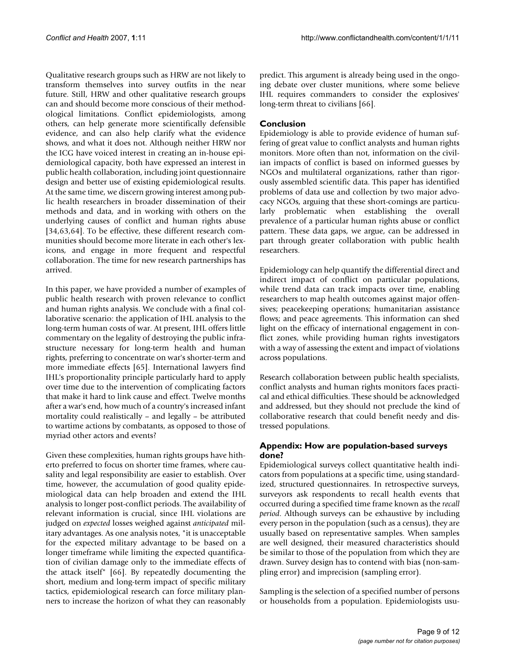Qualitative research groups such as HRW are not likely to transform themselves into survey outfits in the near future. Still, HRW and other qualitative research groups can and should become more conscious of their methodological limitations. Conflict epidemiologists, among others, can help generate more scientifically defensible evidence, and can also help clarify what the evidence shows, and what it does not. Although neither HRW nor the ICG have voiced interest in creating an in-house epidemiological capacity, both have expressed an interest in public health collaboration, including joint questionnaire design and better use of existing epidemiological results. At the same time, we discern growing interest among public health researchers in broader dissemination of their methods and data, and in working with others on the underlying causes of conflict and human rights abuse [34,63,64]. To be effective, these different research communities should become more literate in each other's lexicons, and engage in more frequent and respectful collaboration. The time for new research partnerships has arrived.

In this paper, we have provided a number of examples of public health research with proven relevance to conflict and human rights analysis. We conclude with a final collaborative scenario: the application of IHL analysis to the long-term human costs of war. At present, IHL offers little commentary on the legality of destroying the public infrastructure necessary for long-term health and human rights, preferring to concentrate on war's shorter-term and more immediate effects [65]. International lawyers find IHL's proportionality principle particularly hard to apply over time due to the intervention of complicating factors that make it hard to link cause and effect. Twelve months after a war's end, how much of a country's increased infant mortality could realistically – and legally – be attributed to wartime actions by combatants, as opposed to those of myriad other actors and events?

Given these complexities, human rights groups have hitherto preferred to focus on shorter time frames, where causality and legal responsibility are easier to establish. Over time, however, the accumulation of good quality epidemiological data can help broaden and extend the IHL analysis to longer post-conflict periods. The availability of relevant information is crucial, since IHL violations are judged on *expected* losses weighed against *anticipated* military advantages. As one analysis notes, "it is unacceptable for the expected military advantage to be based on a longer timeframe while limiting the expected quantification of civilian damage only to the immediate effects of the attack itself" [66]. By repeatedly documenting the short, medium and long-term impact of specific military tactics, epidemiological research can force military planners to increase the horizon of what they can reasonably predict. This argument is already being used in the ongoing debate over cluster munitions, where some believe IHL requires commanders to consider the explosives' long-term threat to civilians [66].

## **Conclusion**

Epidemiology is able to provide evidence of human suffering of great value to conflict analysts and human rights monitors. More often than not, information on the civilian impacts of conflict is based on informed guesses by NGOs and multilateral organizations, rather than rigorously assembled scientific data. This paper has identified problems of data use and collection by two major advocacy NGOs, arguing that these short-comings are particularly problematic when establishing the overall prevalence of a particular human rights abuse or conflict pattern. These data gaps, we argue, can be addressed in part through greater collaboration with public health researchers.

Epidemiology can help quantify the differential direct and indirect impact of conflict on particular populations, while trend data can track impacts over time, enabling researchers to map health outcomes against major offensives; peacekeeping operations; humanitarian assistance flows; and peace agreements. This information can shed light on the efficacy of international engagement in conflict zones, while providing human rights investigators with a way of assessing the extent and impact of violations across populations.

Research collaboration between public health specialists, conflict analysts and human rights monitors faces practical and ethical difficulties. These should be acknowledged and addressed, but they should not preclude the kind of collaborative research that could benefit needy and distressed populations.

## **Appendix: How are population-based surveys done?**

Epidemiological surveys collect quantitative health indicators from populations at a specific time, using standardized, structured questionnaires. In retrospective surveys, surveyors ask respondents to recall health events that occurred during a specified time frame known as the *recall period*. Although surveys can be exhaustive by including every person in the population (such as a census), they are usually based on representative samples. When samples are well designed, their measured characteristics should be similar to those of the population from which they are drawn. Survey design has to contend with bias (non-sampling error) and imprecision (sampling error).

Sampling is the selection of a specified number of persons or households from a population. Epidemiologists usu-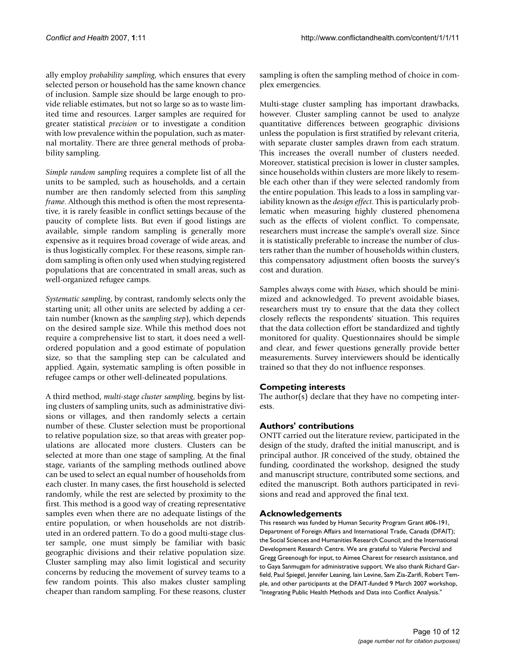ally employ *probability sampling*, which ensures that every selected person or household has the same known chance of inclusion. Sample size should be large enough to provide reliable estimates, but not so large so as to waste limited time and resources. Larger samples are required for greater statistical *precision* or to investigate a condition with low prevalence within the population, such as maternal mortality. There are three general methods of probability sampling.

*Simple random sampling* requires a complete list of all the units to be sampled, such as households, and a certain number are then randomly selected from this *sampling frame*. Although this method is often the most representative, it is rarely feasible in conflict settings because of the paucity of complete lists. But even if good listings are available, simple random sampling is generally more expensive as it requires broad coverage of wide areas, and is thus logistically complex. For these reasons, simple random sampling is often only used when studying registered populations that are concentrated in small areas, such as well-organized refugee camps.

*Systematic sampling*, by contrast, randomly selects only the starting unit; all other units are selected by adding a certain number (known as the *sampling step*), which depends on the desired sample size. While this method does not require a comprehensive list to start, it does need a wellordered population and a good estimate of population size, so that the sampling step can be calculated and applied. Again, systematic sampling is often possible in refugee camps or other well-delineated populations.

A third method, *multi-stage cluster sampling*, begins by listing clusters of sampling units, such as administrative divisions or villages, and then randomly selects a certain number of these. Cluster selection must be proportional to relative population size, so that areas with greater populations are allocated more clusters. Clusters can be selected at more than one stage of sampling. At the final stage, variants of the sampling methods outlined above can be used to select an equal number of households from each cluster. In many cases, the first household is selected randomly, while the rest are selected by proximity to the first. This method is a good way of creating representative samples even when there are no adequate listings of the entire population, or when households are not distributed in an ordered pattern. To do a good multi-stage cluster sample, one must simply be familiar with basic geographic divisions and their relative population size. Cluster sampling may also limit logistical and security concerns by reducing the movement of survey teams to a few random points. This also makes cluster sampling cheaper than random sampling. For these reasons, cluster sampling is often the sampling method of choice in complex emergencies.

Multi-stage cluster sampling has important drawbacks, however. Cluster sampling cannot be used to analyze quantitative differences between geographic divisions unless the population is first stratified by relevant criteria, with separate cluster samples drawn from each stratum. This increases the overall number of clusters needed. Moreover, statistical precision is lower in cluster samples, since households within clusters are more likely to resemble each other than if they were selected randomly from the entire population. This leads to a loss in sampling variability known as the *design effect*. This is particularly problematic when measuring highly clustered phenomena such as the effects of violent conflict. To compensate, researchers must increase the sample's overall size. Since it is statistically preferable to increase the number of clusters rather than the number of households within clusters, this compensatory adjustment often boosts the survey's cost and duration.

Samples always come with *biases*, which should be minimized and acknowledged. To prevent avoidable biases, researchers must try to ensure that the data they collect closely reflects the respondents' situation. This requires that the data collection effort be standardized and tightly monitored for quality. Questionnaires should be simple and clear, and fewer questions generally provide better measurements. Survey interviewers should be identically trained so that they do not influence responses.

## **Competing interests**

The author(s) declare that they have no competing interests.

## **Authors' contributions**

ONTT carried out the literature review, participated in the design of the study, drafted the initial manuscript, and is principal author. JR conceived of the study, obtained the funding, coordinated the workshop, designed the study and manuscript structure, contributed some sections, and edited the manuscript. Both authors participated in revisions and read and approved the final text.

## **Acknowledgements**

This research was funded by Human Security Program Grant #06-191, Department of Foreign Affairs and International Trade, Canada (DFAIT); the Social Sciences and Humanities Research Council; and the International Development Research Centre. We are grateful to Valerie Percival and Gregg Greenough for input, to Aimee Charest for research assistance, and to Gaya Sanmugam for administrative support. We also thank Richard Garfield, Paul Spiegel, Jennifer Leaning, Iain Levine, Sam Zia-Zarifi, Robert Temple, and other participants at the DFAIT-funded 9 March 2007 workshop, "Integrating Public Health Methods and Data into Conflict Analysis."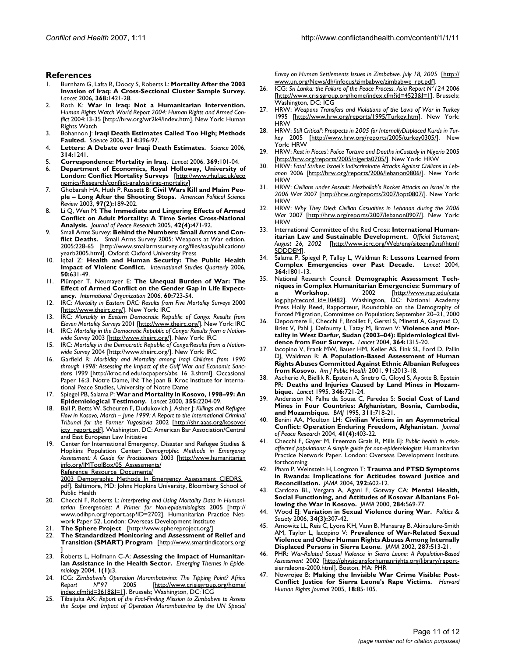#### **References**

- 1. Burnham G, Lafta R, Doocy S, Roberts L: **[Mortality After the 2003](http://www.ncbi.nlm.nih.gov/entrez/query.fcgi?cmd=Retrieve&db=PubMed&dopt=Abstract&list_uids=17055943) [Invasion of Iraq: A Cross-Sectional Cluster Sample Survey.](http://www.ncbi.nlm.nih.gov/entrez/query.fcgi?cmd=Retrieve&db=PubMed&dopt=Abstract&list_uids=17055943)** *Lancet* 2006, **368:**1421-28.
- 2. Roth K: **War in Iraq: Not a Humanitarian Intervention.** *Human Rights Watch World Report 2004: Human Rights and Armed Conflict* 2004:13-35 [\[http://hrw.org/wr2k4/index.htm\]](http://hrw.org/wr2k4/index.htm). New York: Human Rights Watch
- 3. Bohannon J: **[Iraqi Death Estimates Called Too High; Methods](http://www.ncbi.nlm.nih.gov/entrez/query.fcgi?cmd=Retrieve&db=PubMed&dopt=Abstract&list_uids=17053114) [Faulted.](http://www.ncbi.nlm.nih.gov/entrez/query.fcgi?cmd=Retrieve&db=PubMed&dopt=Abstract&list_uids=17053114)** *Science* 2006, **314:**396-97.
- 4. **[Letters: A Debate over Iraqi Death Estimates.](http://www.ncbi.nlm.nih.gov/entrez/query.fcgi?cmd=Retrieve&db=PubMed&dopt=Abstract&list_uids=17124305)** *Science* 2006, **314:**1241.
- 5. **Correspondence: Mortality in Iraq.** *Lancet* 2006, **369:**101-04.
- 6. **Department of Economics, Royal Holloway, University of London: Conflict Mortality Surveys** [\[http://www.rhul.ac.uk/eco](http://www.rhul.ac.uk/economics/Research/conflict-analysis/iraq-mortality) [nomics/Research/conflict-analysis/iraq-mortality\]](http://www.rhul.ac.uk/economics/Research/conflict-analysis/iraq-mortality)
- 7. Ghobarah HA, Huth P, Russett B: **Civil Wars Kill and Maim People – Long After the Shooting Stops.** *American Political Science Review* 2003, **97(2):**189-202.
- 8. Li Q, Wen M: **The Immediate and Lingering Effects of Armed Conflict on Adult Mortality: A Time Series Cross-National Analysis.** *Journal of Peace Research* 2005, **42(4):**471-92.
- 9. Small Arms Survey: **Behind the Numbers: Small Arms and Conflict Deaths.** Small Arms Survey 2005: Weapons at War edition. 2005:228-65 [\[http://www.smallarmssurvey.org/files/sas/publications/](http://www.smallarmssurvey.org/files/sas/publications/yearb2005.html) [yearb2005.html](http://www.smallarmssurvey.org/files/sas/publications/yearb2005.html)]. Oxford: Oxford University Press
- 10. Iqbal Z: **Health and Human Security: The Public Health Impact of Violent Conflict.** *International Studies Quarterly* 2006, **50:**631-49.
- 11. Plümper T, Neumayer E: **The Unequal Burden of War: The Effect of Armed Conflict on the Gender Gap in Life Expectancy.** *International Organization* 2006, **60:**723-54.
- 12. IRC: *Mortality in Eastern DRC: Results from Five Mortality Surveys* 2000 [<http://www.theirc.org/>]. New York: IRC
- 13. IRC: *Mortality in Eastern Democratic Republic of Congo: Results from Eleven Mortality Surveys* 2001 [\[http://www.theirc.org/\]](http://www.theirc.org/). New York: IRC
- 14. IRC: *Mortality in the Democratic Republic of Congo: Results from a Nationwide Survey* 2003 [<http://www.theirc.org/>]. New York: IRC
- IRC: Mortality in the Democratic Republic of Congo:Results from a Nation*wide Survey* 2004 [<http://www.theirc.org/>]. New York: IRC
- 16. Garfield R: *Morbidity and Mortality among Iraqi Children from 1990 through 1998: Assessing the Impact of the Gulf War and Economic Sanctions* 1999 [[http://kroc.nd.edu/ocpapers/abs\\_16\\_3.shtml](http://kroc.nd.edu/ocpapers/abs_16_3.shtml)]. Occasional Paper 16:3. Notre Dame, IN: The Joan B. Kroc Institute for International Peace Studies, University of Notre Dame
- 17. Spiegel PB, Salama P: **[War and Mortality in Kosovo, 1998–99: An](http://www.ncbi.nlm.nih.gov/entrez/query.fcgi?cmd=Retrieve&db=PubMed&dopt=Abstract&list_uids=10881894) [Epidemiological Testimony.](http://www.ncbi.nlm.nih.gov/entrez/query.fcgi?cmd=Retrieve&db=PubMed&dopt=Abstract&list_uids=10881894)** *Lancet* 2000, **355:**2204-09.
- 18. Ball P, Betts W, Scheuren F, Dudukovich J, Asher J: *Killings and Refugee Flow in Kosovo, March – June 1999: A Report to the International Criminal Tribunal for the Former Yugoslavia* 2002 [\[http://shr.aaas.org/kosovo/](http://shr.aaas.org/kosovo/icty_report.pdf) [icty\\_report.pdf\]](http://shr.aaas.org/kosovo/icty_report.pdf). Washington, DC: American Bar Association/Central and East European Law Initiative
- 19. Center for International Emergency, Disaster and Refugee Studies & Hopkins Population Center: *Demographic Methods in Emergency Assessment: A Guide for Practitioners* 2003 [[http://www.humanitarian](http://www.humanitarianinfo.org/IMToolBox/05_Assessments/Reference_Resource_Documents/2003_Demographic_Methods_In_Emergency_Assessment_CIEDRS.pdf) info.org/IMToolBox/05\_Assessments/
	- Reference Resource Documents/

[2003\\_Demographic\\_Methods\\_In\\_Emergency\\_Assessment\\_CIEDRS.](http://www.humanitarianinfo.org/IMToolBox/05_Assessments/Reference_Resource_Documents/2003_Demographic_Methods_In_Emergency_Assessment_CIEDRS.pdf) [pdf](http://www.humanitarianinfo.org/IMToolBox/05_Assessments/Reference_Resource_Documents/2003_Demographic_Methods_In_Emergency_Assessment_CIEDRS.pdf)]. Baltimore, MD: Johns Hopkins University, Bloomberg School of Public Health

- 20. Checchi F, Roberts L: *Interpreting and Using Mortality Data in Humanitarian Emergencies: A Primer for Non-epidemiologists* 2005 [[http://](http://www.odihpn.org/report.asp?ID=2702) [www.odihpn.org/report.asp?ID=2702](http://www.odihpn.org/report.asp?ID=2702)]. Humanitarian Practice Network Paper 52. London: Overseas Development Institute
- 21. **The Sphere Project** [<http://www.sphereproject.org/>]
- 22. **The Standardized Monitoring and Assessment of Relief and Transition (SMART) Program** [\[http://www.smartindicators.org/](http://www.smartindicators.org/) ]
- 23. Roberts L, Hofmann C-A: **[Assessing the Impact of Humanitar](http://www.ncbi.nlm.nih.gov/entrez/query.fcgi?cmd=Retrieve&db=PubMed&dopt=Abstract&list_uids=15679909)[ian Assistance in the Health Sector.](http://www.ncbi.nlm.nih.gov/entrez/query.fcgi?cmd=Retrieve&db=PubMed&dopt=Abstract&list_uids=15679909)** *Emerging Themes in Epidemiology* 2004, **1(1):**3.
- 24. ICG: *Zimbabwe's Operation Murambatsvina: The Tipping Point? Africa Report N°97* 2005 [[http://www.crisisgroup.org/home/](http://www.crisisgroup.org/home/index.cfm?id=3618&l=1) [index.cfm?id=3618&l=1\]](http://www.crisisgroup.org/home/index.cfm?id=3618&l=1). Brussels; Washington, DC: ICG
- 25. Tibaijuka AK: *Report of the Fact-Finding Mission to Zimbabwe to Assess the Scope and Impact of Operation Murambatsvina by the UN Special*

*Envoy on Human Settlements Issues in Zimbabwe. July 18, 2005* [\[http://](http://www.un.org/News/dh/infocus/zimbabwe/zimbabwe_rpt.pdf) [www.un.org/News/dh/infocus/zimbabwe/zimbabwe\\_rpt.pdf\]](http://www.un.org/News/dh/infocus/zimbabwe/zimbabwe_rpt.pdf).

- 26. ICG: *Sri Lanka: the Failure of the Peace Process. Asia Report N°124* 2006 [[http://www.crisisgroup.org/home/index.cfm?id=4523&l=1\]](http://www.crisisgroup.org/home/index.cfm?id=4523&l=1). Brussels; Washington, DC: ICG
- 27. HRW: *Weapons Transfers and Violations of the Laws of War in Turkey* 1995 [\[http://www.hrw.org/reports/1995/Turkey.htm](http://www.hrw.org/reports/1995/Turkey.htm)]. New York: **HRW**
- 28. HRW: *Still Critical': Prospects in 2005 for InternallyDisplaced Kurds in Turkey* 2005 [\[http://www.hrw.org/reports/2005/turkey0305/](http://www.hrw.org/reports/2005/turkey0305/)]. New York: HRW
- 29. HRW: *Rest in Pieces': Police Torture and Deaths inCustody in Nigeria* 2005 [[http://hrw.org/reports/2005/nigeria0705/\]](http://hrw.org/reports/2005/nigeria0705/). New York: HRW
- 30. HRW: *Fatal Strikes: Israel's Indiscriminate Attacks Against Civilians in Lebanon* 2006 [\[http://hrw.org/reports/2006/lebanon0806/](http://hrw.org/reports/2006/lebanon0806/)]. New York: **HRW**
- 31. HRW: *Civilians under Assault: Hezbollah's Rocket Attacks on Israel in the 2006 War* 2007 [[http://hrw.org/reports/2007/iopt0807/\]](http://hrw.org/reports/2007/iopt0807/). New York: **HRW**
- 32. HRW: *Why They Died: Civilian Casualties in Lebanon during the 2006 War* 2007 [[http://hrw.org/reports/2007/lebanon0907/\]](http://hrw.org/reports/2007/lebanon0907/). New York: **HRW**
- 33. International Committee of the Red Cross: **International Humanitarian Law and Sustainable Development.** *Official Statement; August 26, 2002* [\[http://www.icrc.org/Web/eng/siteeng0.nsf/html/](http://www.icrc.org/Web/eng/siteeng0.nsf/html/5DDDEM) [5DDDEM](http://www.icrc.org/Web/eng/siteeng0.nsf/html/5DDDEM)].
- 34. Salama P, Spiegel P, Talley L, Waldman R: **[Lessons Learned from](http://www.ncbi.nlm.nih.gov/entrez/query.fcgi?cmd=Retrieve&db=PubMed&dopt=Abstract&list_uids=15541455) [Complex Emergencies over Past Decade.](http://www.ncbi.nlm.nih.gov/entrez/query.fcgi?cmd=Retrieve&db=PubMed&dopt=Abstract&list_uids=15541455)** *Lancet* 2004, **364:**1801-13.
- 35. National Research Council: **Demographic Assessment Techniques in Complex Humanitarian Emergencies: Summary of Workshop.** 2002 [\[http://www.nap.edu/cata](http://www.nap.edu/catalog.php?record_id=10482) [log.php?record\\_id=10482\]](http://www.nap.edu/catalog.php?record_id=10482). Washington, DC: National Academy Press Holly Reed, Rapporteur, Roundtable on the Demography of Forced Migration, Committee on Population; September 20–21, 2000
- 36. Depoortere E, Checchi F, Broillet F, Gerstl S, Minetti A, Gayraud O, Briet V, Pahl J, Defourny I, Tatay M, Brown V: **[Violence and Mor](http://www.ncbi.nlm.nih.gov/entrez/query.fcgi?cmd=Retrieve&db=PubMed&dopt=Abstract&list_uids=15474133)[tality in West Darfur, Sudan \(2003–04\): Epidemiological Evi](http://www.ncbi.nlm.nih.gov/entrez/query.fcgi?cmd=Retrieve&db=PubMed&dopt=Abstract&list_uids=15474133)[dence from Four Surveys.](http://www.ncbi.nlm.nih.gov/entrez/query.fcgi?cmd=Retrieve&db=PubMed&dopt=Abstract&list_uids=15474133)** *Lancet* 2004, **364:**1315-20.
- 37. Iacopino V, Frank MW, Bauer HM, Keller AS, Fink SL, Ford D, Pallin DJ, Waldman R: **[A Population-Based Assessment of Human](http://www.ncbi.nlm.nih.gov/entrez/query.fcgi?cmd=Retrieve&db=PubMed&dopt=Abstract&list_uids=11726386) [Rights Abuses Committed Against Ethnic Albanian Refugees](http://www.ncbi.nlm.nih.gov/entrez/query.fcgi?cmd=Retrieve&db=PubMed&dopt=Abstract&list_uids=11726386) [from Kosovo.](http://www.ncbi.nlm.nih.gov/entrez/query.fcgi?cmd=Retrieve&db=PubMed&dopt=Abstract&list_uids=11726386)** *Am J Public Health* 2001, **91:**2013-18.
- 38. Ascherio A, Biellik R, Epstein A, Snetro G, Gloyd S, Ayotte B, Epstein PR: **[Deaths and Injuries Caused by Land Mines in Mozam](http://www.ncbi.nlm.nih.gov/entrez/query.fcgi?cmd=Retrieve&db=PubMed&dopt=Abstract&list_uids=7658871)[bique.](http://www.ncbi.nlm.nih.gov/entrez/query.fcgi?cmd=Retrieve&db=PubMed&dopt=Abstract&list_uids=7658871)** *Lancet* 1995, **346:**721-24.
- 39. Andersson N, Palha da Sousa C, Paredes S: **[Social Cost of Land](http://www.ncbi.nlm.nih.gov/entrez/query.fcgi?cmd=Retrieve&db=PubMed&dopt=Abstract&list_uids=7549685) [Mines in Four Countries: Afghanistan, Bosnia, Cambodia,](http://www.ncbi.nlm.nih.gov/entrez/query.fcgi?cmd=Retrieve&db=PubMed&dopt=Abstract&list_uids=7549685) [and Mozambique.](http://www.ncbi.nlm.nih.gov/entrez/query.fcgi?cmd=Retrieve&db=PubMed&dopt=Abstract&list_uids=7549685)** *BMJ* 1995, **311:**718-21.
- 40. Benini AA, Moulton LH: **Civilian Victims in an Asymmetrical Conflict: Operation Enduring Freedom, Afghanistan.** *Journal of Peace Research* 2004, **41(4):**403-22.
- 41. Checchi F, Gayer M, Freeman Grais R, Mills EJ: *Public health in crisisaffected populations: A simple guide for non-epidemiologists* Humanitarian Practice Network Paper. London: Overseas Development Institute. forthcoming.
- 42. Pham P, Weinstein H, Longman T: **[Trauma and PTSD Symptoms](http://www.ncbi.nlm.nih.gov/entrez/query.fcgi?cmd=Retrieve&db=PubMed&dopt=Abstract&list_uids=15292086) [in Rwanda: Implications for Attitudes toward Justice and](http://www.ncbi.nlm.nih.gov/entrez/query.fcgi?cmd=Retrieve&db=PubMed&dopt=Abstract&list_uids=15292086) [Reconciliation.](http://www.ncbi.nlm.nih.gov/entrez/query.fcgi?cmd=Retrieve&db=PubMed&dopt=Abstract&list_uids=15292086)** *JAMA* 2004, **292:**602-12.
- 43. Cardozo BL, Vergara A, Agani F, Gotway CA: **[Mental Health,](http://www.ncbi.nlm.nih.gov/entrez/query.fcgi?cmd=Retrieve&db=PubMed&dopt=Abstract&list_uids=10918702) [Social Functioning, and Attitudes of Kosovar Albanians Fol](http://www.ncbi.nlm.nih.gov/entrez/query.fcgi?cmd=Retrieve&db=PubMed&dopt=Abstract&list_uids=10918702)[lowing the War in Kosovo.](http://www.ncbi.nlm.nih.gov/entrez/query.fcgi?cmd=Retrieve&db=PubMed&dopt=Abstract&list_uids=10918702)** *JAMA* 2000, **284:**569-77.
- 44. Wood EJ: **Variation in Sexual Violence during War.** *Politics & Society* 2006, **34(3):**307-42.
- 45. Amowitz LL, Reis C, Lyons KH, Vann B, Mansaray B, Akinsulure-Smith AM, Taylor L, Iacopino V: **[Prevalence of War-Related Sexual](http://www.ncbi.nlm.nih.gov/entrez/query.fcgi?cmd=Retrieve&db=PubMed&dopt=Abstract&list_uids=11798376) [Violence and Other Human Rights Abuses Among Internally](http://www.ncbi.nlm.nih.gov/entrez/query.fcgi?cmd=Retrieve&db=PubMed&dopt=Abstract&list_uids=11798376) [Displaced Persons in Sierra Leone.](http://www.ncbi.nlm.nih.gov/entrez/query.fcgi?cmd=Retrieve&db=PubMed&dopt=Abstract&list_uids=11798376)** *JAMA* 2002, **287:**513-21.
- 46. PHR: *War-Related Sexual Violence in Sierra Leone: A Population-Based Assessment* 2002 [\[http://physiciansforhumanrights.org/library/report](http://physiciansforhumanrights.org/library/report-sierraleone-2000.html)[sierraleone-2000.html](http://physiciansforhumanrights.org/library/report-sierraleone-2000.html)]. Boston, MA: PHR
- 47. Nowrojee B: **Making the Invisible War Crime Visible: Post-Conflict Justice for Sierra Leone's Rape Victims.** *Harvard Human Rights Journal* 2005, **18:**85-105.